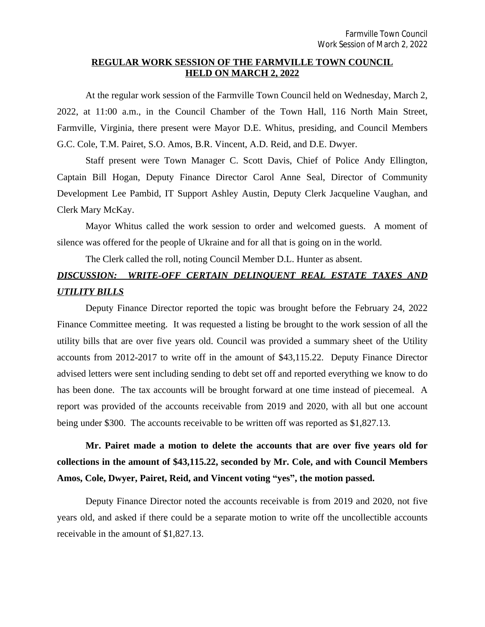### **REGULAR WORK SESSION OF THE FARMVILLE TOWN COUNCIL HELD ON MARCH 2, 2022**

At the regular work session of the Farmville Town Council held on Wednesday, March 2, 2022, at 11:00 a.m., in the Council Chamber of the Town Hall, 116 North Main Street, Farmville, Virginia, there present were Mayor D.E. Whitus, presiding, and Council Members G.C. Cole, T.M. Pairet, S.O. Amos, B.R. Vincent, A.D. Reid, and D.E. Dwyer.

Staff present were Town Manager C. Scott Davis, Chief of Police Andy Ellington, Captain Bill Hogan, Deputy Finance Director Carol Anne Seal, Director of Community Development Lee Pambid, IT Support Ashley Austin, Deputy Clerk Jacqueline Vaughan, and Clerk Mary McKay.

Mayor Whitus called the work session to order and welcomed guests. A moment of silence was offered for the people of Ukraine and for all that is going on in the world.

The Clerk called the roll, noting Council Member D.L. Hunter as absent.

## *DISCUSSION: WRITE-OFF CERTAIN DELINQUENT REAL ESTATE TAXES AND UTILITY BILLS*

Deputy Finance Director reported the topic was brought before the February 24, 2022 Finance Committee meeting. It was requested a listing be brought to the work session of all the utility bills that are over five years old. Council was provided a summary sheet of the Utility accounts from 2012-2017 to write off in the amount of \$43,115.22. Deputy Finance Director advised letters were sent including sending to debt set off and reported everything we know to do has been done. The tax accounts will be brought forward at one time instead of piecemeal. A report was provided of the accounts receivable from 2019 and 2020, with all but one account being under \$300. The accounts receivable to be written off was reported as \$1,827.13.

# **Mr. Pairet made a motion to delete the accounts that are over five years old for collections in the amount of \$43,115.22, seconded by Mr. Cole, and with Council Members Amos, Cole, Dwyer, Pairet, Reid, and Vincent voting "yes", the motion passed.**

Deputy Finance Director noted the accounts receivable is from 2019 and 2020, not five years old, and asked if there could be a separate motion to write off the uncollectible accounts receivable in the amount of \$1,827.13.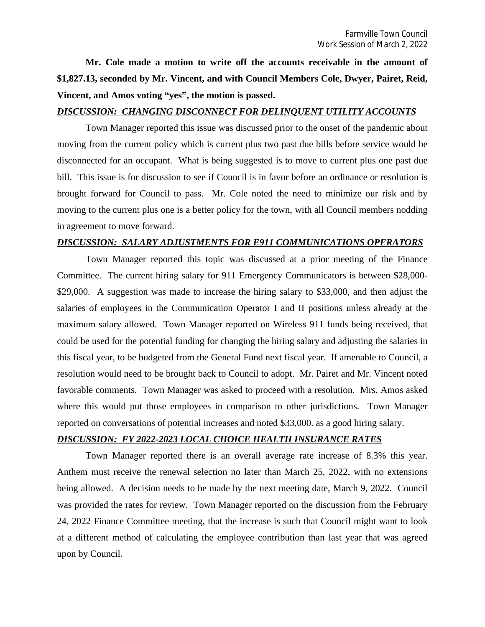**Mr. Cole made a motion to write off the accounts receivable in the amount of \$1,827.13, seconded by Mr. Vincent, and with Council Members Cole, Dwyer, Pairet, Reid, Vincent, and Amos voting "yes", the motion is passed.**

#### *DISCUSSION: CHANGING DISCONNECT FOR DELINQUENT UTILITY ACCOUNTS*

Town Manager reported this issue was discussed prior to the onset of the pandemic about moving from the current policy which is current plus two past due bills before service would be disconnected for an occupant. What is being suggested is to move to current plus one past due bill. This issue is for discussion to see if Council is in favor before an ordinance or resolution is brought forward for Council to pass. Mr. Cole noted the need to minimize our risk and by moving to the current plus one is a better policy for the town, with all Council members nodding in agreement to move forward.

#### *DISCUSSION: SALARY ADJUSTMENTS FOR E911 COMMUNICATIONS OPERATORS*

Town Manager reported this topic was discussed at a prior meeting of the Finance Committee. The current hiring salary for 911 Emergency Communicators is between \$28,000- \$29,000. A suggestion was made to increase the hiring salary to \$33,000, and then adjust the salaries of employees in the Communication Operator I and II positions unless already at the maximum salary allowed. Town Manager reported on Wireless 911 funds being received, that could be used for the potential funding for changing the hiring salary and adjusting the salaries in this fiscal year, to be budgeted from the General Fund next fiscal year. If amenable to Council, a resolution would need to be brought back to Council to adopt. Mr. Pairet and Mr. Vincent noted favorable comments. Town Manager was asked to proceed with a resolution. Mrs. Amos asked where this would put those employees in comparison to other jurisdictions. Town Manager reported on conversations of potential increases and noted \$33,000. as a good hiring salary.

### *DISCUSSION: FY 2022-2023 LOCAL CHOICE HEALTH INSURANCE RATES*

Town Manager reported there is an overall average rate increase of 8.3% this year. Anthem must receive the renewal selection no later than March 25, 2022, with no extensions being allowed. A decision needs to be made by the next meeting date, March 9, 2022. Council was provided the rates for review. Town Manager reported on the discussion from the February 24, 2022 Finance Committee meeting, that the increase is such that Council might want to look at a different method of calculating the employee contribution than last year that was agreed upon by Council.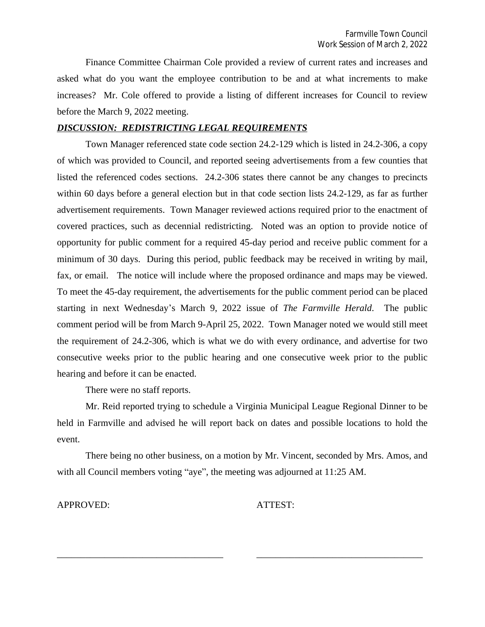Finance Committee Chairman Cole provided a review of current rates and increases and asked what do you want the employee contribution to be and at what increments to make increases? Mr. Cole offered to provide a listing of different increases for Council to review before the March 9, 2022 meeting.

#### *DISCUSSION: REDISTRICTING LEGAL REQUIREMENTS*

Town Manager referenced state code section 24.2-129 which is listed in 24.2-306, a copy of which was provided to Council, and reported seeing advertisements from a few counties that listed the referenced codes sections. 24.2-306 states there cannot be any changes to precincts within 60 days before a general election but in that code section lists 24.2-129, as far as further advertisement requirements. Town Manager reviewed actions required prior to the enactment of covered practices, such as decennial redistricting. Noted was an option to provide notice of opportunity for public comment for a required 45-day period and receive public comment for a minimum of 30 days. During this period, public feedback may be received in writing by mail, fax, or email. The notice will include where the proposed ordinance and maps may be viewed. To meet the 45-day requirement, the advertisements for the public comment period can be placed starting in next Wednesday's March 9, 2022 issue of *The Farmville Herald*. The public comment period will be from March 9-April 25, 2022. Town Manager noted we would still meet the requirement of 24.2-306, which is what we do with every ordinance, and advertise for two consecutive weeks prior to the public hearing and one consecutive week prior to the public hearing and before it can be enacted.

There were no staff reports.

Mr. Reid reported trying to schedule a Virginia Municipal League Regional Dinner to be held in Farmville and advised he will report back on dates and possible locations to hold the event.

There being no other business, on a motion by Mr. Vincent, seconded by Mrs. Amos, and with all Council members voting "aye", the meeting was adjourned at 11:25 AM.

\_\_\_\_\_\_\_\_\_\_\_\_\_\_\_\_\_\_\_\_\_\_\_\_\_\_\_\_\_\_\_\_\_\_\_ \_\_\_\_\_\_\_\_\_\_\_\_\_\_\_\_\_\_\_\_\_\_\_\_\_\_\_\_\_\_\_\_\_\_\_

APPROVED: ATTEST: